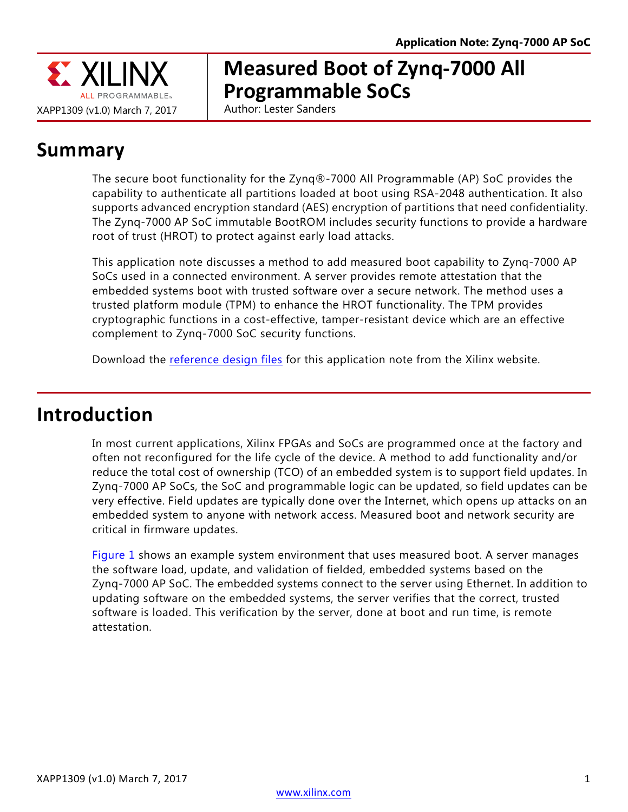

# **Measured Boot of Zynq-7000 All Programmable SoCs**

Author: Lester Sanders

# **Summary**

The secure boot functionality for the Zynq®-7000 All Programmable (AP) SoC provides the capability to authenticate all partitions loaded at boot using RSA-2048 authentication. It also supports advanced encryption standard (AES) encryption of partitions that need confidentiality. The Zynq-7000 AP SoC immutable BootROM includes security functions to provide a hardware root of trust (HROT) to protect against early load attacks.

This application note discusses a method to add measured boot capability to Zynq-7000 AP SoCs used in a connected environment. A server provides remote attestation that the embedded systems boot with trusted software over a secure network. The method uses a trusted platform module (TPM) to enhance the HROT functionality. The TPM provides cryptographic functions in a cost-effective, tamper-resistant device which are an effective complement to Zynq-7000 SoC security functions.

Download the [reference design files](https://secure.xilinx.com/webreg/clickthrough.do?cid=09af4ba2-db20-4132-af05-e7cec59c3d1e) for this application note from the Xilinx website.

## **Introduction**

In most current applications, Xilinx FPGAs and SoCs are programmed once at the factory and often not reconfigured for the life cycle of the device. A method to add functionality and/or reduce the total cost of ownership (TCO) of an embedded system is to support field updates. In Zynq-7000 AP SoCs, the SoC and programmable logic can be updated, so field updates can be very effective. Field updates are typically done over the Internet, which opens up attacks on an embedded system to anyone with network access. Measured boot and network security are critical in firmware updates.

[Figure 1](#page-1-0) shows an example system environment that uses measured boot. A server manages the software load, update, and validation of fielded, embedded systems based on the Zynq-7000 AP SoC. The embedded systems connect to the server using Ethernet. In addition to updating software on the embedded systems, the server verifies that the correct, trusted software is loaded. This verification by the server, done at boot and run time, is remote attestation.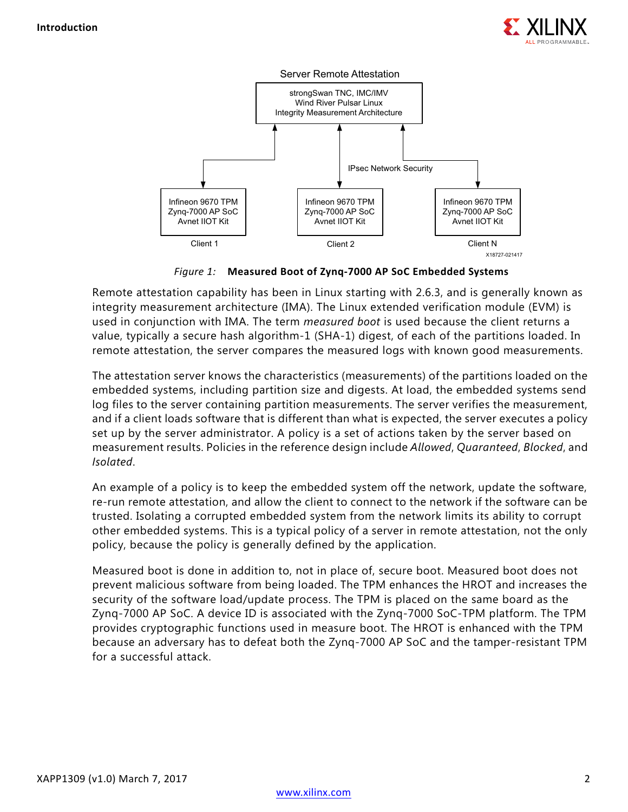

<span id="page-1-0"></span>

*Figure 1:* **Measured Boot of Zynq-7000 AP SoC Embedded Systems**

Remote attestation capability has been in Linux starting with 2.6.3, and is generally known as integrity measurement architecture (IMA). The Linux extended verification module (EVM) is used in conjunction with IMA. The term *measured boot* is used because the client returns a value, typically a secure hash algorithm-1 (SHA-1) digest, of each of the partitions loaded. In remote attestation, the server compares the measured logs with known good measurements.

The attestation server knows the characteristics (measurements) of the partitions loaded on the embedded systems, including partition size and digests. At load, the embedded systems send log files to the server containing partition measurements. The server verifies the measurement, and if a client loads software that is different than what is expected, the server executes a policy set up by the server administrator. A policy is a set of actions taken by the server based on measurement results. Policies in the reference design include *Allowed*, *Quaranteed*, *Blocked*, and *Isolated*.

An example of a policy is to keep the embedded system off the network, update the software, re-run remote attestation, and allow the client to connect to the network if the software can be trusted. Isolating a corrupted embedded system from the network limits its ability to corrupt other embedded systems. This is a typical policy of a server in remote attestation, not the only policy, because the policy is generally defined by the application.

Measured boot is done in addition to, not in place of, secure boot. Measured boot does not prevent malicious software from being loaded. The TPM enhances the HROT and increases the security of the software load/update process. The TPM is placed on the same board as the Zynq-7000 AP SoC. A device ID is associated with the Zynq-7000 SoC-TPM platform. The TPM provides cryptographic functions used in measure boot. The HROT is enhanced with the TPM because an adversary has to defeat both the Zynq-7000 AP SoC and the tamper-resistant TPM for a successful attack.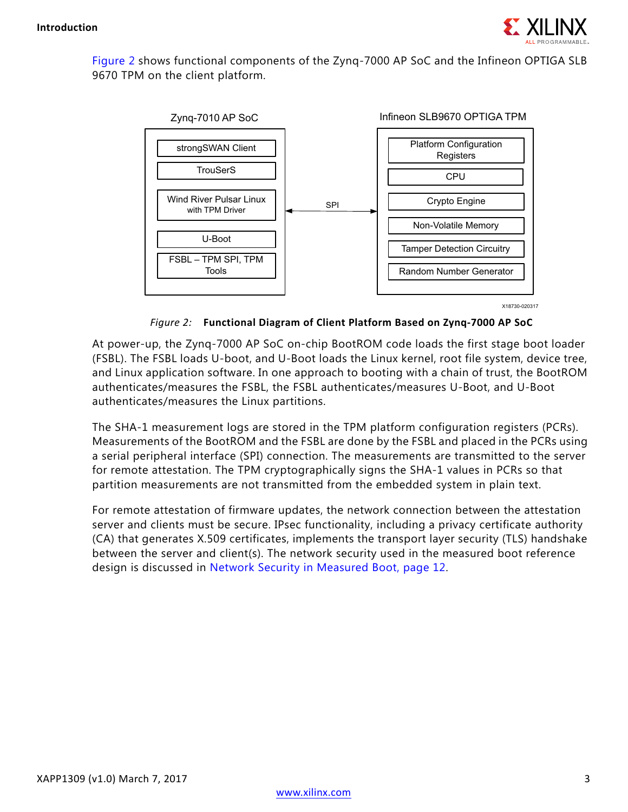

<span id="page-2-0"></span>[Figure 2](#page-2-0) shows functional components of the Zynq-7000 AP SoC and the Infineon OPTIGA SLB 9670 TPM on the client platform.



X18730-020317

#### *Figure 2:* **Functional Diagram of Client Platform Based on Zynq-7000 AP SoC**

At power-up, the Zynq-7000 AP SoC on-chip BootROM code loads the first stage boot loader (FSBL). The FSBL loads U-boot, and U-Boot loads the Linux kernel, root file system, device tree, and Linux application software. In one approach to booting with a chain of trust, the BootROM authenticates/measures the FSBL, the FSBL authenticates/measures U-Boot, and U-Boot authenticates/measures the Linux partitions.

The SHA-1 measurement logs are stored in the TPM platform configuration registers (PCRs). Measurements of the BootROM and the FSBL are done by the FSBL and placed in the PCRs using a serial peripheral interface (SPI) connection. The measurements are transmitted to the server for remote attestation. The TPM cryptographically signs the SHA-1 values in PCRs so that partition measurements are not transmitted from the embedded system in plain text.

For remote attestation of firmware updates, the network connection between the attestation server and clients must be secure. IPsec functionality, including a privacy certificate authority (CA) that generates X.509 certificates, implements the transport layer security (TLS) handshake between the server and client(s). The network security used in the measured boot reference design is discussed in [Network Security in Measured Boot, page 12.](#page-11-0)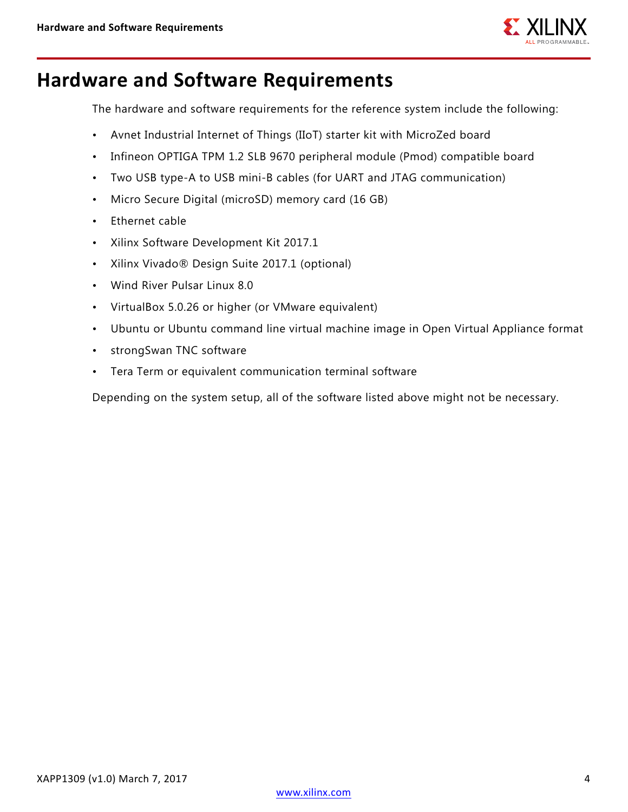

## **Hardware and Software Requirements**

The hardware and software requirements for the reference system include the following:

- Avnet Industrial Internet of Things (IIoT) starter kit with MicroZed board
- Infineon OPTIGA TPM 1.2 SLB 9670 peripheral module (Pmod) compatible board
- Two USB type-A to USB mini-B cables (for UART and JTAG communication)
- Micro Secure Digital (microSD) memory card (16 GB)
- Ethernet cable
- Xilinx Software Development Kit 2017.1
- Xilinx Vivado® Design Suite 2017.1 (optional)
- Wind River Pulsar Linux 8.0
- VirtualBox 5.0.26 or higher (or VMware equivalent)
- Ubuntu or Ubuntu command line virtual machine image in Open Virtual Appliance format
- strongSwan TNC software
- Tera Term or equivalent communication terminal software

Depending on the system setup, all of the software listed above might not be necessary.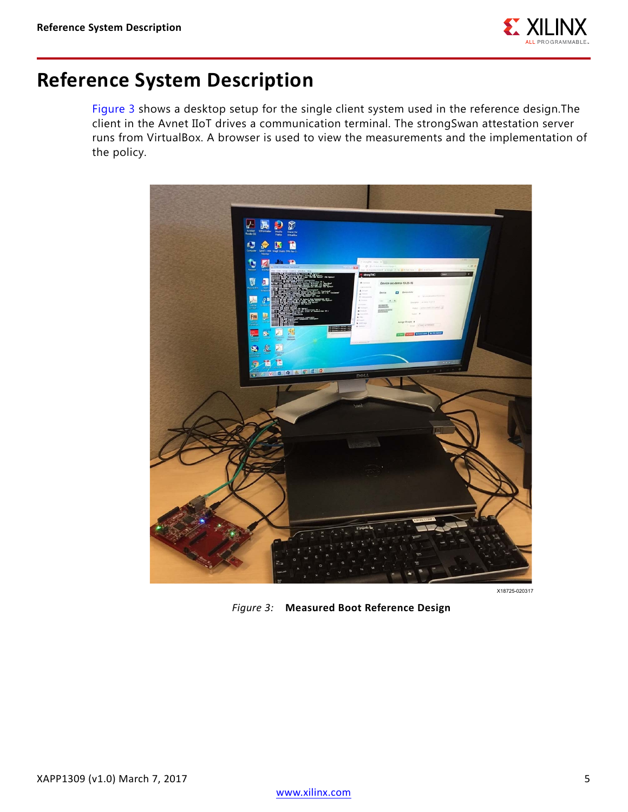

## **Reference System Description**

[Figure 3](#page-4-0) shows a desktop setup for the single client system used in the reference design.The client in the Avnet IIoT drives a communication terminal. The strongSwan attestation server runs from VirtualBox. A browser is used to view the measurements and the implementation of the policy.

<span id="page-4-0"></span>

X18725-020317

*Figure 3:* **Measured Boot Reference Design**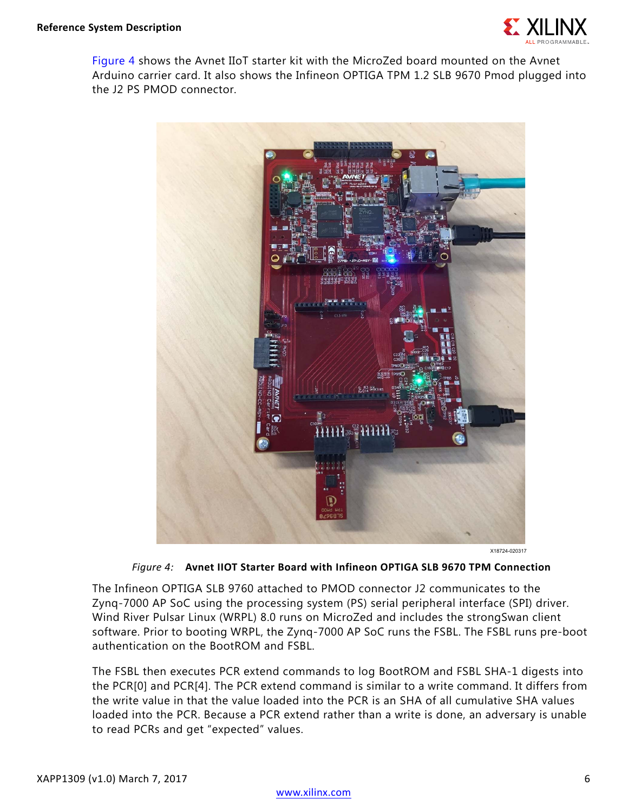

<span id="page-5-0"></span>[Figure 4](#page-5-0) shows the Avnet IIoT starter kit with the MicroZed board mounted on the Avnet Arduino carrier card. It also shows the Infineon OPTIGA TPM 1.2 SLB 9670 Pmod plugged into the J2 PS PMOD connector.



X18724-020317

#### *Figure 4:* **Avnet IIOT Starter Board with Infineon OPTIGA SLB 9670 TPM Connection**

The Infineon OPTIGA SLB 9760 attached to PMOD connector J2 communicates to the Zynq-7000 AP SoC using the processing system (PS) serial peripheral interface (SPI) driver. Wind River Pulsar Linux (WRPL) 8.0 runs on MicroZed and includes the strongSwan client software. Prior to booting WRPL, the Zynq-7000 AP SoC runs the FSBL. The FSBL runs pre-boot authentication on the BootROM and FSBL.

The FSBL then executes PCR extend commands to log BootROM and FSBL SHA-1 digests into the PCR[0] and PCR[4]. The PCR extend command is similar to a write command. It differs from the write value in that the value loaded into the PCR is an SHA of all cumulative SHA values loaded into the PCR. Because a PCR extend rather than a write is done, an adversary is unable to read PCRs and get "expected" values.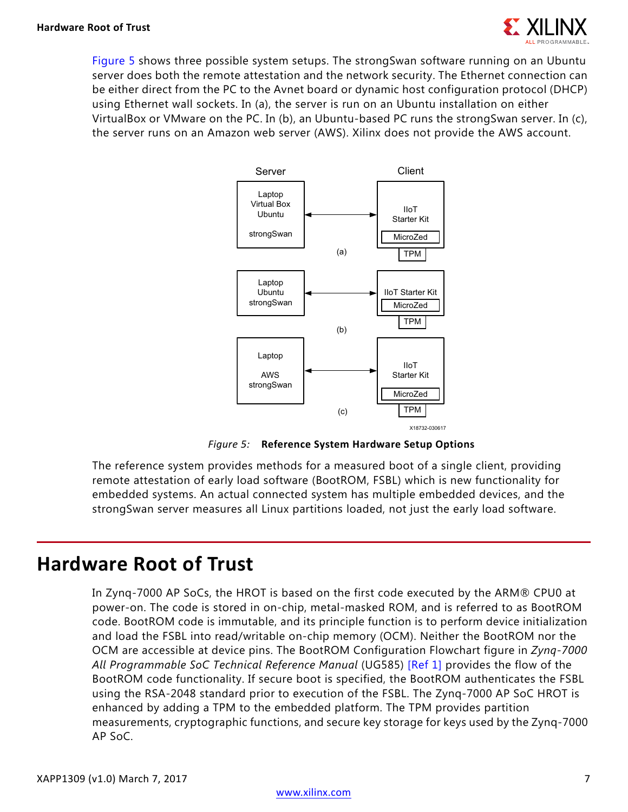<span id="page-6-0"></span>[Figure 5](#page-6-0) shows three possible system setups. The strongSwan software running on an Ubuntu server does both the remote attestation and the network security. The Ethernet connection can be either direct from the PC to the Avnet board or dynamic host configuration protocol (DHCP) using Ethernet wall sockets. In (a), the server is run on an Ubuntu installation on either VirtualBox or VMware on the PC. In (b), an Ubuntu-based PC runs the strongSwan server. In (c), the server runs on an Amazon web server (AWS). Xilinx does not provide the AWS account.



*Figure 5:* **Reference System Hardware Setup Options**

The reference system provides methods for a measured boot of a single client, providing remote attestation of early load software (BootROM, FSBL) which is new functionality for embedded systems. An actual connected system has multiple embedded devices, and the strongSwan server measures all Linux partitions loaded, not just the early load software.

### **Hardware Root of Trust**

In Zynq-7000 AP SoCs, the HROT is based on the first code executed by the ARM® CPU0 at power-on. The code is stored in on-chip, metal-masked ROM, and is referred to as BootROM code. BootROM code is immutable, and its principle function is to perform device initialization and load the FSBL into read/writable on-chip memory (OCM). Neither the BootROM nor the OCM are accessible at device pins. The BootROM Configuration Flowchart figure in *Zynq-7000 All Programmable SoC Technical Reference Manual* (UG585) [\[Ref 1\]](#page-12-0) provides the flow of the BootROM code functionality. If secure boot is specified, the BootROM authenticates the FSBL using the RSA-2048 standard prior to execution of the FSBL. The Zynq-7000 AP SoC HROT is enhanced by adding a TPM to the embedded platform. The TPM provides partition measurements, cryptographic functions, and secure key storage for keys used by the Zynq-7000 AP SoC.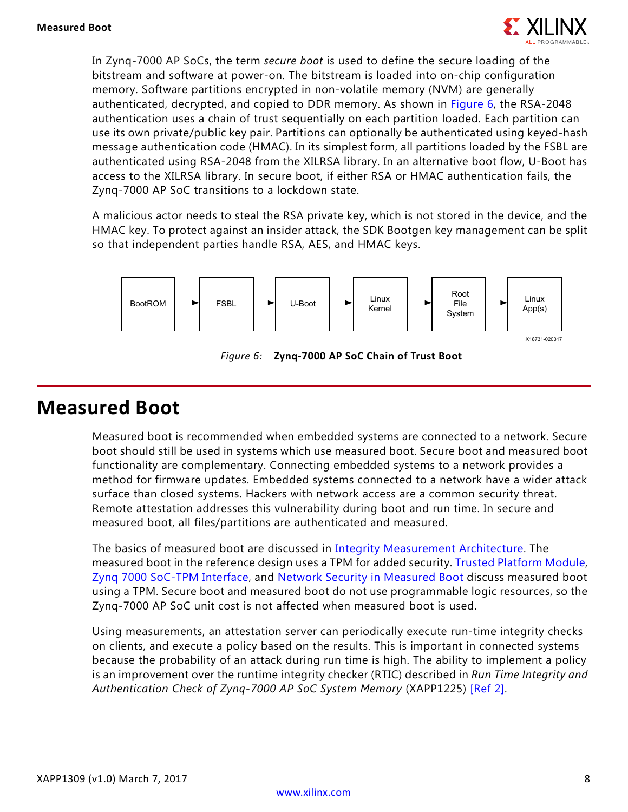

In Zynq-7000 AP SoCs, the term *secure boot* is used to define the secure loading of the bitstream and software at power-on. The bitstream is loaded into on-chip configuration memory. Software partitions encrypted in non-volatile memory (NVM) are generally authenticated, decrypted, and copied to DDR memory. As shown in [Figure 6](#page-7-0), the RSA-2048 authentication uses a chain of trust sequentially on each partition loaded. Each partition can use its own private/public key pair. Partitions can optionally be authenticated using keyed-hash message authentication code (HMAC). In its simplest form, all partitions loaded by the FSBL are authenticated using RSA-2048 from the XILRSA library. In an alternative boot flow, U-Boot has access to the XILRSA library. In secure boot, if either RSA or HMAC authentication fails, the Zynq-7000 AP SoC transitions to a lockdown state.

A malicious actor needs to steal the RSA private key, which is not stored in the device, and the HMAC key. To protect against an insider attack, the SDK Bootgen key management can be split so that independent parties handle RSA, AES, and HMAC keys.

<span id="page-7-0"></span>

*Figure 6:* **Zynq-7000 AP SoC Chain of Trust Boot**

### **Measured Boot**

Measured boot is recommended when embedded systems are connected to a network. Secure boot should still be used in systems which use measured boot. Secure boot and measured boot functionality are complementary. Connecting embedded systems to a network provides a method for firmware updates. Embedded systems connected to a network have a wider attack surface than closed systems. Hackers with network access are a common security threat. Remote attestation addresses this vulnerability during boot and run time. In secure and measured boot, all files/partitions are authenticated and measured.

The basics of measured boot are discussed in [Integrity Measurement Architecture.](#page-8-0) The measured boot in the reference design uses a TPM for added security. [Trusted Platform Module,](#page-9-0) [Zynq 7000 SoC-TPM Interface,](#page-10-0) and [Network Security in Measured Boot](#page-11-0) discuss measured boot using a TPM. Secure boot and measured boot do not use programmable logic resources, so the Zynq-7000 AP SoC unit cost is not affected when measured boot is used.

Using measurements, an attestation server can periodically execute run-time integrity checks on clients, and execute a policy based on the results. This is important in connected systems because the probability of an attack during run time is high. The ability to implement a policy is an improvement over the runtime integrity checker (RTIC) described in *Run Time Integrity and Authentication Check of Zynq-7000 AP SoC System Memory* (XAPP1225) [\[Ref 2\]](#page-12-1).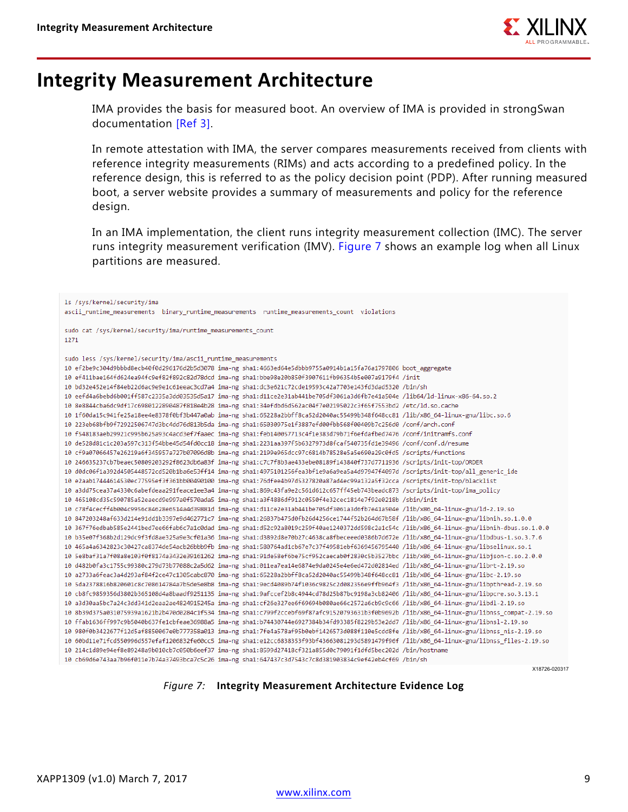

## <span id="page-8-0"></span>**Integrity Measurement Architecture**

IMA provides the basis for measured boot. An overview of IMA is provided in strongSwan documentation [\[Ref 3\]](#page-12-2).

In remote attestation with IMA, the server compares measurements received from clients with reference integrity measurements (RIMs) and acts according to a predefined policy. In the reference design, this is referred to as the policy decision point (PDP). After running measured boot, a server website provides a summary of measurements and policy for the reference design.

In an IMA implementation, the client runs integrity measurement collection (IMC). The server runs integrity measurement verification (IMV). [Figure 7](#page-8-1) shows an example log when all Linux partitions are measured.

<span id="page-8-1"></span>

| ls /sys/kernel/security/ima                                                                                                                         |
|-----------------------------------------------------------------------------------------------------------------------------------------------------|
| ascii runtime measurements binary runtime measurements runtime measurements count violations                                                        |
|                                                                                                                                                     |
| sudo cat /sys/kernel/security/ima/runtime measurements count                                                                                        |
| 1271                                                                                                                                                |
|                                                                                                                                                     |
| sudo less /sys/kernel/security/ima/ascii_runtime measurements                                                                                       |
| 10 ef2be9c304d9bbbd8ecb40f0d296176d2b5d3078 ima-ng sha1:4663ed64e5dbbb9755a0914b1a15fa76a1797806 boot aggregate                                     |
| 10 ef411bae164fd624ea94fc9ef82f892c82d78dcd ima-ng sha1:bbe98e20b850f3907611fb96354b5e007a9179f4 /init                                              |
| 10 bd32e452e14f84eb22d6ac9e9e1c61eeac3cd7a4 ima-ng sha1:dc3e621c72cde19593c42a7703e143fd3dad5320 /bin/sh                                            |
| 10 eefd4a6bebd6b001ff587c2335a3dd03535d5a17 ima-ng sha1:d11ce2e31ab441be705df3061a3d6fb7e41a504e /lib64/ld-linux-x86-64.so.2                        |
| 10 8e8844cba6dc9df17c6980122890487f818e4b28 ima-ng sha1:34efdbd6d562ac04f7e02195022c3f65f7553bd2 /etc/ld.so.cache                                   |
| 10 1f60da15c941fe25a18ee4e8378f0bf3b447a0ab ima-ng sha1:65228a2bbff8ca52d2040ac55499b348f648cc81 /lib/x86 64-linux-gnu/libc.so.6                    |
| 10 223eb68bfb9f72922506747d3bc4dd76d813b5da ima-ng sha1:65030975e1f3887efd00fbb568f00409b7c256d0 /conf/arch.conf                                    |
| 10 f548183aeb29921c995b625a93c4acd3ef7faaec ima-ng sha1:feb140057713c4f1e383d79b71f6efdafbed7476 /conf/initramfs.conf                               |
| 10 de528d81c1c203a597c313f54bbe45d54fd0cc18 ima-ng sha1:2231aa397f5b6327973d8fcaf540735fd1e39496 /conf/conf.d/resume                                |
| 10 cf9a07066457e26219a6f345957a727b07096d8b ima-ng sha1:2199e965dcc97c6814b78528e5a5e690a29c0fd5 /scripts/functions                                 |
| 10 246635237cb7beaec50809203292f8623db6a83f ima-ng sha1:c7c7f8b3ae433ebe08189f143840f737d7711936 /scripts/init-top/ORDER                            |
| 10 d0dc06f1a392d4505448572cd520b1ba6e53ff14 ima-ng sha1:4975101256fea3bf1e9a6a9ea5a4d97947f4097d /scripts/init-top/all generic ide                  |
| 10 e2aab17444614530ec77595ef3f361bb00490100 ima-ng sha1:76dfee4b97d5327820a87ad4ec99a132a5f32cca /scripts/init-top/blacklist                        |
| 10 a3dd75cea37a4330c6abefdeaa291feace1ee3a4 ima-ng sha1:869c43fa9e2c561d612c657ff45eb743beadc873 /scripts/init-top/ima policy                       |
| 10 465108cd35c590785a52eaecd9e997a0f570ada5 ima-ng sha1:a3f4886df912c0550f4e32cec1814e7f92e0218b /sbin/init                                         |
| 10.1-1.1-2.19.bs 64-1inux-gnu/1d-2.19.so 6514a4d39881d ima-ng sha1:d11ce2e31ab441be705df3061a3d6fb7e41a504e /lib/x86                                |
| 10 847203248af633d214e91dd1b3397e9d462771c7 ima-ng sha1:26837b475d0fb26d4256ce1744f52b264d67b58f /lib/x86 64-linux-gnu/libnih.so.1.0.0              |
| 10.02.100.1bhih-dbus-so-19441bed7ee66fab6c7a1c0dad ima-ng sha1:d52c92a8019c259f40ae1240372dd598c2a1c54c /lib/x86 64-linux-gnu/libnih-dbus.so.1.0.0  |
| 16.1.1.102.102.1026/17568b2d129dc9f3fd8ae325a9e3cf01a36 ima-ng sha1:d3892d8e70b27c4638ca8fbeceeed0386b7d672e /lib/x86 64-linux-gnu/libdbus-1.so.3.7 |
| 10 465a4a6342823c30427ca8374de54acb26bbb9fb ima-ng sha1:580764ad1cb67e7c37f49581ebf6369456795440 /lib/x86 64-linux-gnu/libselinux.so.1              |
| 10 Se8baf31a7f08a8e103f0f8174a3432e39161262 ima-ng sha1:91de58ef6be75cf952caecab0f2830c5b3527bbc /lib/x86 64-linux-gnu/libjson-c.so.2.0.0           |
| 10 d482b0fa3c1755c99380c279d73b77088c2a5d62 ima-ng sha1:011ea7ea14e6874e9da0245e4e6ed472d02814ed /lib/x86 64-linux-gnu/librt-2.19.so                |
| 10 a2733a6feac3a4d293af84f2ce47c1305cabc870 ima-ng sha1:65228a2bbff8ca52d2040ac55499b348f648cc81 /lib/x86 64-linux-gnu/libc-2.19.so                 |
| 10 5da2378816b820601c8c708614784a7b5de5e8b8 ima-ng sha1:9ecd4089b74f1036c9825c2d082356e9ffb964f3 /lib/x86 64-linux-gnu/libpthread-2.19.so           |
| 10.1.13.13 cb8fc9859356d3802b365108d4a8baadf9251135 ima-ng sha1:9afccef2b8c4944cd78d25b87bc9198a3cb82406 /lib/x86 64-linux-gnu/libpcre.so.3.13.1    |
| 10 a3d30aa5bc7a24c3dd341d2eaa2ae4824915245a ima-ng sha1:cf26e327ee6f69694b080ae66c2572a6cb9c9c66 /lib/x86 64-linux-gnu/libdl-2.19.so                |
| 10 8b39d375a031075939a1621b2b470d0284c1f534 ima-ng sha1:c799f2ccebf69f87afc91520793631b3f0b9692b /lib/x86 64-linux-gnu/libnss compat-2.19.so        |
| 10 ffab1636ff997c9b5040b637fe1cbfeae36988a5 ima-ng sha1:b74430744e6927384b34fd93385f8229b53e2dd7 /lib/x86 64-linux-gnu/libnsl-2.19.so               |
| 10 980f0b3422677f12d5af8850067e0b777358a013 ima-ng sha1:7fe4a578af95b0ebf1426573d088f110e5cdd8fe /lib/x86 64-linux-gnu/libnss nis-2.19.so           |
| 10 60bd11e71fcd550996d557efaf1206832fe60cc5 ima-ng sha1:e12cc6838353f93bf43663081293d5891479f96f /lib/x86 64-linux-gnu/libnss files-2.19.so         |
| 10 214c1d89e94ef8e89248a9b010cb7c050b6eef37 ima-ng sha1:8599d27418cf321a855d0c79091f1dfd5bec202d /bin/hostname                                      |
| 10 cb69d6e743aa7b96f011e7b74a37493bca7c5c26 ima-ng sha1:647437c3d7543c7c8d381903834c9ef42eb4cf69 /bin/sh                                            |

X18726-020317

#### *Figure 7:* **Integrity Measurement Architecture Evidence Log**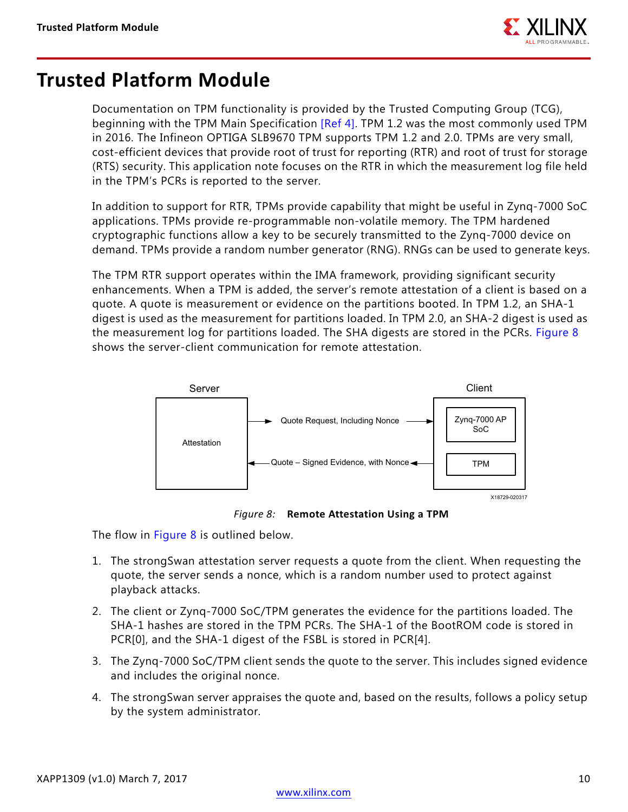

## <span id="page-9-0"></span>**Trusted Platform Module**

Documentation on TPM functionality is provided by the Trusted Computing Group (TCG), beginning with the TPM Main Specification [\[Ref 4\]](#page-12-3). TPM 1.2 was the most commonly used TPM in 2016. The Infineon OPTIGA SLB9670 TPM supports TPM 1.2 and 2.0. TPMs are very small, cost-efficient devices that provide root of trust for reporting (RTR) and root of trust for storage (RTS) security. This application note focuses on the RTR in which the measurement log file held in the TPM's PCRs is reported to the server.

In addition to support for RTR, TPMs provide capability that might be useful in Zynq-7000 SoC applications. TPMs provide re-programmable non-volatile memory. The TPM hardened cryptographic functions allow a key to be securely transmitted to the Zynq-7000 device on demand. TPMs provide a random number generator (RNG). RNGs can be used to generate keys.

The TPM RTR support operates within the IMA framework, providing significant security enhancements. When a TPM is added, the server's remote attestation of a client is based on a quote. A quote is measurement or evidence on the partitions booted. In TPM 1.2, an SHA-1 digest is used as the measurement for partitions loaded. In TPM 2.0, an SHA-2 digest is used as the measurement log for partitions loaded. The SHA digests are stored in the PCRs. [Figure 8](#page-9-1) shows the server-client communication for remote attestation.

<span id="page-9-1"></span>

*Figure 8:* **Remote Attestation Using a TPM**

The flow in [Figure 8](#page-9-1) is outlined below.

- 1. The strongSwan attestation server requests a quote from the client. When requesting the quote, the server sends a nonce, which is a random number used to protect against playback attacks.
- 2. The client or Zynq-7000 SoC/TPM generates the evidence for the partitions loaded. The SHA-1 hashes are stored in the TPM PCRs. The SHA-1 of the BootROM code is stored in PCR[0], and the SHA-1 digest of the FSBL is stored in PCR[4].
- 3. The Zynq-7000 SoC/TPM client sends the quote to the server. This includes signed evidence and includes the original nonce.
- 4. The strongSwan server appraises the quote and, based on the results, follows a policy setup by the system administrator.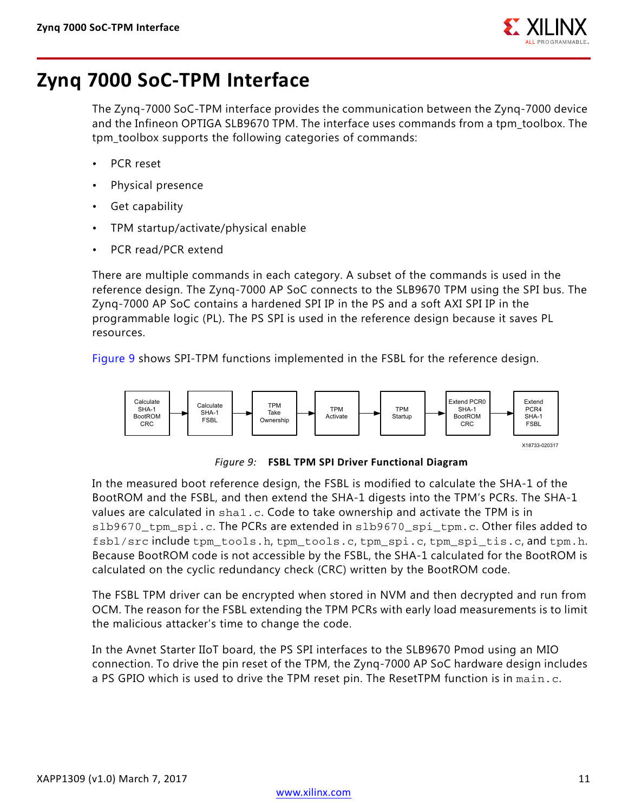

# <span id="page-10-0"></span>**Zynq 7000 SoC-TPM Interface**

The Zynq-7000 SoC-TPM interface provides the communication between the Zynq-7000 device and the Infineon OPTIGA SLB9670 TPM. The interface uses commands from a tpm\_toolbox. The tpm\_toolbox supports the following categories of commands:

- PCR reset
- Physical presence
- Get capability
- TPM startup/activate/physical enable
- PCR read/PCR extend

There are multiple commands in each category. A subset of the commands is used in the reference design. The Zynq-7000 AP SoC connects to the SLB9670 TPM using the SPI bus. The Zynq-7000 AP SoC contains a hardened SPI IP in the PS and a soft AXI SPI IP in the programmable logic (PL). The PS SPI is used in the reference design because it saves PL resources.

[Figure 9](#page-10-1) shows SPI-TPM functions implemented in the FSBL for the reference design.

<span id="page-10-1"></span>

*Figure 9:* **FSBL TPM SPI Driver Functional Diagram**

In the measured boot reference design, the FSBL is modified to calculate the SHA-1 of the BootROM and the FSBL, and then extend the SHA-1 digests into the TPM's PCRs. The SHA-1 values are calculated in sha1.c. Code to take ownership and activate the TPM is in slb9670 tpm spi.c. The PCRs are extended in slb9670 spi tpm.c. Other files added to fsbl/src include tpm\_tools.h, tpm\_tools.c, tpm\_spi.c, tpm\_spi\_tis.c, and tpm.h. Because BootROM code is not accessible by the FSBL, the SHA-1 calculated for the BootROM is calculated on the cyclic redundancy check (CRC) written by the BootROM code.

The FSBL TPM driver can be encrypted when stored in NVM and then decrypted and run from OCM. The reason for the FSBL extending the TPM PCRs with early load measurements is to limit the malicious attacker's time to change the code.

In the Avnet Starter IIoT board, the PS SPI interfaces to the SLB9670 Pmod using an MIO connection. To drive the pin reset of the TPM, the Zynq-7000 AP SoC hardware design includes a PS GPIO which is used to drive the TPM reset pin. The ResetTPM function is in main.c.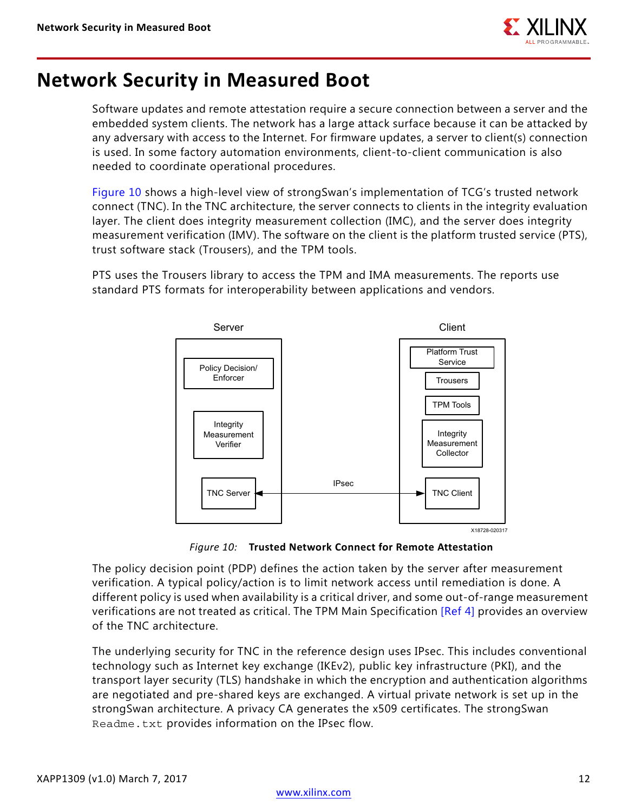

## <span id="page-11-0"></span>**Network Security in Measured Boot**

Software updates and remote attestation require a secure connection between a server and the embedded system clients. The network has a large attack surface because it can be attacked by any adversary with access to the Internet. For firmware updates, a server to client(s) connection is used. In some factory automation environments, client-to-client communication is also needed to coordinate operational procedures.

[Figure 10](#page-11-1) shows a high-level view of strongSwan's implementation of TCG's trusted network connect (TNC). In the TNC architecture, the server connects to clients in the integrity evaluation layer. The client does integrity measurement collection (IMC), and the server does integrity measurement verification (IMV). The software on the client is the platform trusted service (PTS), trust software stack (Trousers), and the TPM tools.

<span id="page-11-1"></span>PTS uses the Trousers library to access the TPM and IMA measurements. The reports use standard PTS formats for interoperability between applications and vendors.



*Figure 10:* **Trusted Network Connect for Remote Attestation**

The policy decision point (PDP) defines the action taken by the server after measurement verification. A typical policy/action is to limit network access until remediation is done. A different policy is used when availability is a critical driver, and some out-of-range measurement verifications are not treated as critical. The TPM Main Specification [\[Ref 4\]](#page-12-3) provides an overview of the TNC architecture.

The underlying security for TNC in the reference design uses IPsec. This includes conventional technology such as Internet key exchange (IKEv2), public key infrastructure (PKI), and the transport layer security (TLS) handshake in which the encryption and authentication algorithms are negotiated and pre-shared keys are exchanged. A virtual private network is set up in the strongSwan architecture. A privacy CA generates the x509 certificates. The strongSwan Readme.txt provides information on the IPsec flow.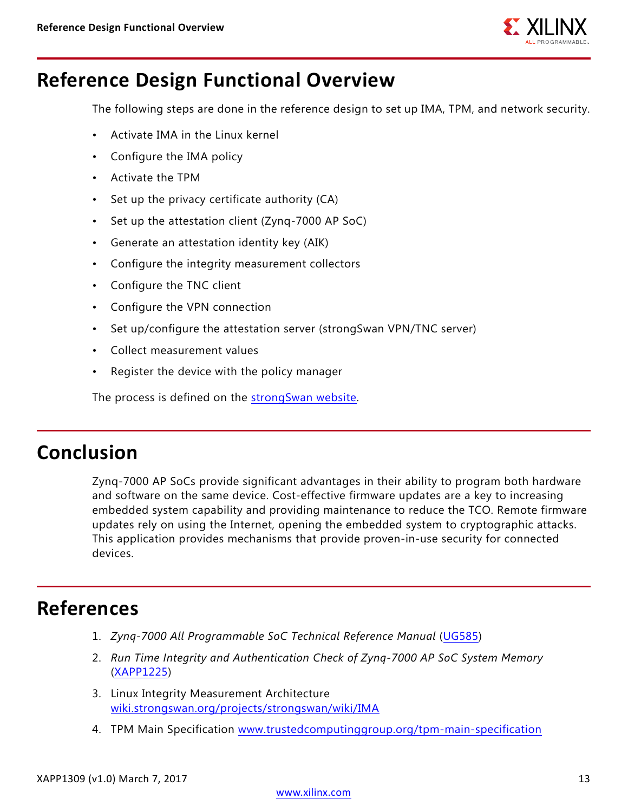

## **Reference Design Functional Overview**

The following steps are done in the reference design to set up IMA, TPM, and network security.

- Activate IMA in the Linux kernel
- Configure the IMA policy
- Activate the TPM
- Set up the privacy certificate authority (CA)
- Set up the attestation client (Zynq-7000 AP SoC)
- Generate an attestation identity key (AIK)
- Configure the integrity measurement collectors
- Configure the TNC client
- Configure the VPN connection
- Set up/configure the attestation server (strongSwan VPN/TNC server)
- Collect measurement values
- Register the device with the policy manager

The process is defined on the [strongSwan website.](https://www.strongswan.org/)

### **Conclusion**

Zynq-7000 AP SoCs provide significant advantages in their ability to program both hardware and software on the same device. Cost-effective firmware updates are a key to increasing embedded system capability and providing maintenance to reduce the TCO. Remote firmware updates rely on using the Internet, opening the embedded system to cryptographic attacks. This application provides mechanisms that provide proven-in-use security for connected devices.

## **References**

- <span id="page-12-0"></span>1. *Zynq-7000 All Programmable SoC Technical Reference Manual* ([UG585\)](https://www.xilinx.com/support/documentation/user_guides/ug585-Zynq-7000-TRM.pdf)
- <span id="page-12-1"></span>2. *Run Time Integrity and Authentication Check of Zynq-7000 AP SoC System Memory* ([XAPP1225\)](https://www.xilinx.com/support/documentation/application_notes/xapp1225-rtic.pdf)
- <span id="page-12-2"></span>3. Linux Integrity Measurement Architecture [wiki.strongswan.org/projects/strongswan/wiki/IMA](https:/wiki.strongswan.org/projects/strongswan/wiki/IMA)
- <span id="page-12-3"></span>4. TPM Main Specification [www.trustedcomputinggroup.org/tpm-main-specification](https://www.trustedcomputinggroup.org/tpm-main-specification)